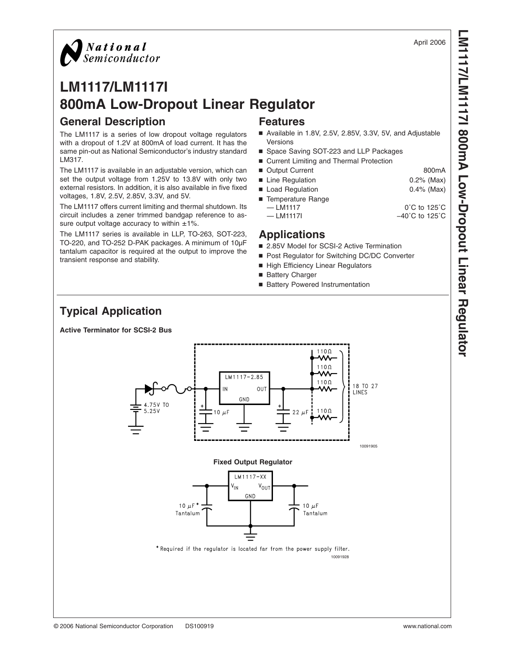### April 2006

## **LM1117/LM1117I 800mA Low-Dropout Linear Regulator General Description Features**

The LM1117 is a series of low dropout voltage regulators with a dropout of 1.2V at 800mA of load current. It has the same pin-out as National Semiconductor's industry standard LM317.

The LM1117 is available in an adjustable version, which can set the output voltage from 1.25V to 13.8V with only two external resistors. In addition, it is also available in five fixed voltages, 1.8V, 2.5V, 2.85V, 3.3V, and 5V.

The LM1117 offers current limiting and thermal shutdown. Its circuit includes a zener trimmed bandgap reference to assure output voltage accuracy to within  $\pm 1\%$ .

The LM1117 series is available in LLP, TO-263, SOT-223, TO-220, and TO-252 D-PAK packages. A minimum of 10µF tantalum capacitor is required at the output to improve the transient response and stability.

- Available in 1.8V, 2.5V, 2.85V, 3.3V, 5V, and Adjustable Versions
- Space Saving SOT-223 and LLP Packages
- Current Limiting and Thermal Protection
- Output Current 800mA
- Line Regulation 0.2% (Max)
- Load Regulation 0.4% (Max)
- Temperature Range  $-$  LM1117  $0^{\circ}$ C to 125 $^{\circ}$ C — LM1117I −40°C to 125°C

## **Applications**

- 2.85V Model for SCSI-2 Active Termination
- Post Regulator for Switching DC/DC Converter
- High Efficiency Linear Regulators
- Battery Charger
- Battery Powered Instrumentation

## **Typical Application**

**Active Terminator for SCSI-2 Bus**



*National*<br>Semiconductor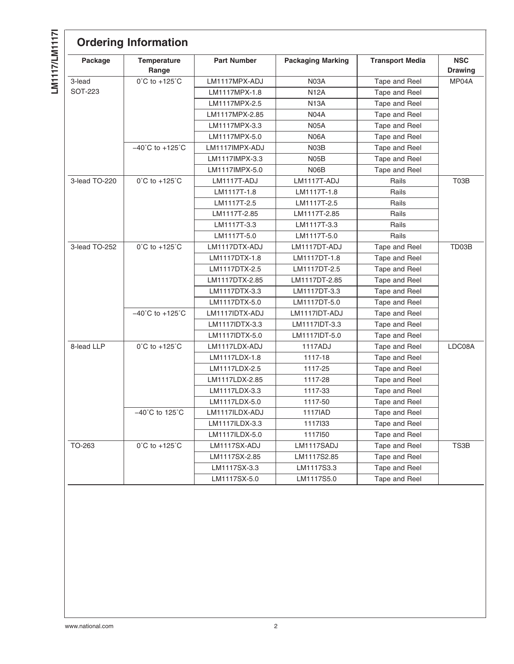LM117/LM1171 **LM1117/LM1117I**

| Package        | <b>Temperature</b><br>Range         | <b>Part Number</b> | <b>Packaging Marking</b> | <b>Transport Media</b> | <b>NSC</b><br><b>Drawing</b> |
|----------------|-------------------------------------|--------------------|--------------------------|------------------------|------------------------------|
| 3-lead         | $0^{\circ}$ C to +125 $^{\circ}$ C  | LM1117MPX-ADJ      | <b>N03A</b>              | Tape and Reel          | MP04A                        |
| <b>SOT-223</b> |                                     | LM1117MPX-1.8      | <b>N12A</b>              | Tape and Reel          |                              |
|                |                                     | LM1117MPX-2.5      | <b>N13A</b>              | Tape and Reel          |                              |
|                |                                     | LM1117MPX-2.85     | <b>N04A</b>              | Tape and Reel          |                              |
|                |                                     | LM1117MPX-3.3      | <b>N05A</b>              | Tape and Reel          |                              |
|                |                                     | LM1117MPX-5.0      | <b>N06A</b>              | Tape and Reel          |                              |
|                | $-40^{\circ}$ C to $+125^{\circ}$ C | LM1117IMPX-ADJ     | N <sub>03</sub> B        | Tape and Reel          |                              |
|                |                                     | LM1117IMPX-3.3     | <b>N05B</b>              | Tape and Reel          |                              |
|                |                                     | LM1117IMPX-5.0     | N06B                     | Tape and Reel          |                              |
| 3-lead TO-220  | $0^{\circ}$ C to +125 $^{\circ}$ C  | LM1117T-ADJ        | LM1117T-ADJ              | Rails                  | T03B                         |
|                |                                     | LM1117T-1.8        | LM1117T-1.8              | Rails                  |                              |
|                |                                     | LM1117T-2.5        | LM1117T-2.5              | Rails                  |                              |
|                |                                     | LM1117T-2.85       | LM1117T-2.85             | Rails                  |                              |
|                |                                     | LM1117T-3.3        | LM1117T-3.3              | Rails                  |                              |
|                |                                     | LM1117T-5.0        | LM1117T-5.0              | Rails                  |                              |
| 3-lead TO-252  | $0^{\circ}$ C to +125 $^{\circ}$ C  | LM1117DTX-ADJ      | LM1117DT-ADJ             | Tape and Reel          | TD03B                        |
|                |                                     | LM1117DTX-1.8      | LM1117DT-1.8             | Tape and Reel          |                              |
|                |                                     | LM1117DTX-2.5      | LM1117DT-2.5             | Tape and Reel          |                              |
|                |                                     | LM1117DTX-2.85     | LM1117DT-2.85            | Tape and Reel          |                              |
|                |                                     | LM1117DTX-3.3      | LM1117DT-3.3             | Tape and Reel          |                              |
|                |                                     | LM1117DTX-5.0      | LM1117DT-5.0             | Tape and Reel          |                              |
|                | $-40^{\circ}$ C to $+125^{\circ}$ C | LM1117IDTX-ADJ     | LM1117IDT-ADJ            | Tape and Reel          |                              |
|                |                                     | LM1117IDTX-3.3     | LM1117IDT-3.3            | Tape and Reel          |                              |
|                |                                     | LM1117IDTX-5.0     | LM1117IDT-5.0            | Tape and Reel          |                              |
| 8-lead LLP     | $0^{\circ}$ C to +125 $^{\circ}$ C  | LM1117LDX-ADJ      | 1117ADJ                  | Tape and Reel          | LDC08A                       |
|                |                                     | LM1117LDX-1.8      | 1117-18                  | Tape and Reel          |                              |
|                |                                     | LM1117LDX-2.5      | 1117-25                  | Tape and Reel          |                              |
|                |                                     | LM1117LDX-2.85     | 1117-28                  | Tape and Reel          |                              |
|                |                                     | LM1117LDX-3.3      | 1117-33                  | Tape and Reel          |                              |
|                |                                     | LM1117LDX-5.0      | 1117-50                  | Tape and Reel          |                              |
|                | $-40^{\circ}$ C to 125 $^{\circ}$ C | LM1117ILDX-ADJ     | 1117IAD                  | Tape and Reel          |                              |
|                |                                     | LM1117ILDX-3.3     | 1117133                  | Tape and Reel          |                              |
|                |                                     | LM1117ILDX-5.0     | 1117150                  | Tape and Reel          |                              |
| TO-263         | $0^{\circ}$ C to +125 $^{\circ}$ C  | LM1117SX-ADJ       | LM1117SADJ               | Tape and Reel          | TS3B                         |
|                |                                     | LM1117SX-2.85      | LM1117S2.85              | Tape and Reel          |                              |
|                |                                     | LM1117SX-3.3       | LM1117S3.3               | Tape and Reel          |                              |
|                |                                     | LM1117SX-5.0       | LM1117S5.0               | Tape and Reel          |                              |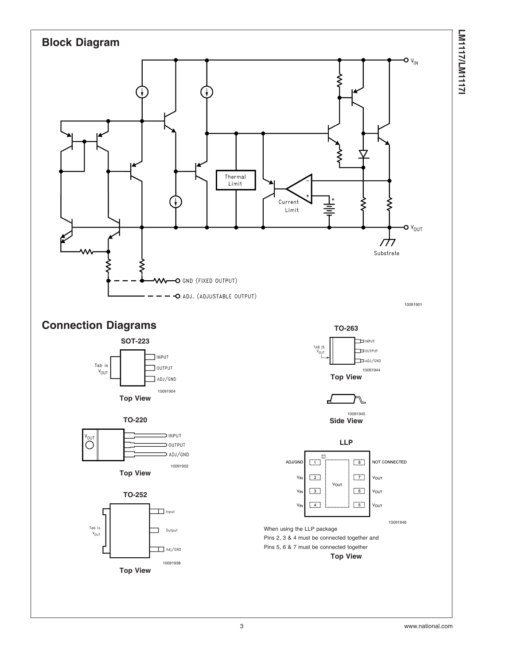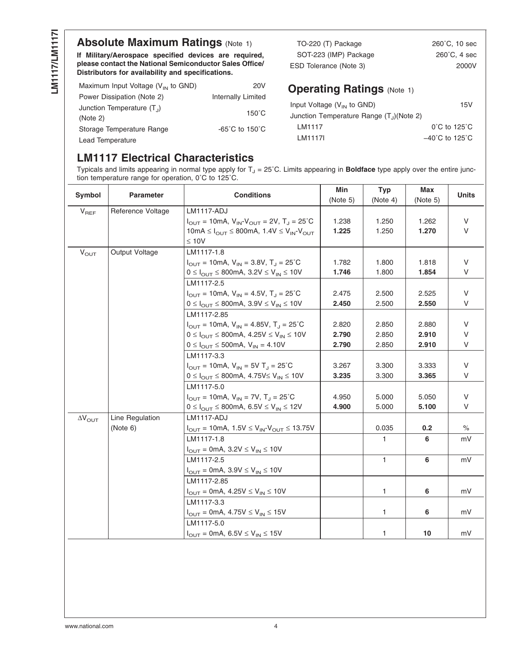## **Absolute Maximum Ratings [\(Note 1\)](#page-5-0)**

**If Military/Aerospace specified devices are required, please contact the National Semiconductor Sales Office/ Distributors for availability and specifications.**

| Maximum Input Voltage $(V_{IN}$ to GND)  | 20V                                 |
|------------------------------------------|-------------------------------------|
| Power Dissipation (Note 2)               | <b>Internally Limited</b>           |
| Junction Temperature $(T_1)$<br>(Note 2) | $150^{\circ}$ C                     |
| Storage Temperature Range                | $-65^{\circ}$ C to 150 $^{\circ}$ C |
| Lead Temperature                         |                                     |

| TO-220 (T) Package     | $260^{\circ}$ C, 10 sec |
|------------------------|-------------------------|
| SOT-223 (IMP) Package  | $260^{\circ}$ C. 4 sec  |
| ESD Tolerance (Note 3) | 2000V                   |
|                        |                         |

## **Operating Ratings [\(Note 1\)](#page-5-0)**

| Input Voltage $(V_{IN}$ to GND)            | 15V                                 |
|--------------------------------------------|-------------------------------------|
| Junction Temperature Range $(T_1)(Note 2)$ |                                     |
| <b>IM1117</b>                              | $0^{\circ}$ C to 125 $^{\circ}$ C   |
| I M1117I                                   | $-40^{\circ}$ C to 125 $^{\circ}$ C |

## **LM1117 Electrical Characteristics**

Typicals and limits appearing in normal type apply for  $T_J = 25^{\circ}$ C. Limits appearing in **Boldface** type apply over the entire junction temperature range for operation, 0˚C to 125˚C.

| Symbol                  | <b>Parameter</b>  | <b>Conditions</b>                                                                                        |       | <b>Typ</b><br>(Note 4) | Max<br>(Note 5) | <b>Units</b> |
|-------------------------|-------------------|----------------------------------------------------------------------------------------------------------|-------|------------------------|-----------------|--------------|
| $V_{REF}$               | Reference Voltage | <b>LM1117-ADJ</b>                                                                                        |       |                        |                 |              |
|                         |                   | $I_{\text{OUT}} = 10 \text{mA}, V_{\text{IN}} - V_{\text{OUT}} = 2V, T_{\text{J}} = 25^{\circ} \text{C}$ | 1.238 | 1.250                  | 1.262           | V            |
|                         |                   | 10mA $\leq I_{\text{OUT}} \leq 800$ mA, 1.4V $\leq V_{\text{IN}}-V_{\text{OUT}}$                         | 1.225 | 1.250                  | 1.270           | V            |
|                         |                   | $\leq 10V$                                                                                               |       |                        |                 |              |
| $V_{OUT}$               | Output Voltage    | LM1117-1.8                                                                                               |       |                        |                 |              |
|                         |                   | $I_{\text{OUT}} = 10 \text{mA}, V_{\text{IN}} = 3.8 V, T_{\text{J}} = 25^{\circ} \text{C}$               | 1.782 | 1.800                  | 1.818           | V            |
|                         |                   | $0 \le I_{\text{OUT}} \le 800 \text{mA}, 3.2 \text{V} \le V_{\text{IN}} \le 10 \text{V}$                 | 1.746 | 1.800                  | 1.854           | V            |
|                         |                   | LM1117-2.5                                                                                               |       |                        |                 |              |
|                         |                   | $I_{\text{OUT}} = 10 \text{mA}, V_{\text{IN}} = 4.5V, T_{\text{J}} = 25^{\circ}\text{C}$                 | 2.475 | 2.500                  | 2.525           | V            |
|                         |                   | $0 \leq I_{\text{OUT}} \leq 800 \text{mA}, 3.9 \text{V} \leq V_{\text{IN}} \leq 10 \text{V}$             | 2.450 | 2.500                  | 2.550           | V            |
|                         |                   | LM1117-2.85                                                                                              |       |                        |                 |              |
|                         |                   | $I_{OUT} = 10mA$ , $V_{IN} = 4.85V$ , $T_J = 25^{\circ}C$                                                | 2.820 | 2.850                  | 2.880           | V            |
|                         |                   | $0 \le I_{OUT} \le 800$ mA, $4.25V \le V_{IN} \le 10V$                                                   | 2.790 | 2.850                  | 2.910           | V            |
|                         |                   | $0 \le I_{\text{OUT}} \le 500 \text{mA}, V_{\text{IN}} = 4.10 V$                                         | 2.790 | 2.850                  | 2.910           | V            |
|                         |                   | LM1117-3.3                                                                                               |       |                        |                 |              |
|                         |                   | $I_{OUT} = 10mA$ , $V_{IN} = 5V$ T <sub>J</sub> = 25°C                                                   | 3.267 | 3.300                  | 3.333           | V            |
|                         |                   | $0 \leq I_{\text{OUT}} \leq 800 \text{mA}, 4.75 \text{V} \leq V_{\text{IN}} \leq 10 \text{V}$            | 3.235 | 3.300                  | 3.365           | V            |
|                         |                   | LM1117-5.0                                                                                               |       |                        |                 |              |
|                         |                   | $I_{OUT}$ = 10mA, $V_{IN}$ = 7V, $T_J$ = 25°C                                                            | 4.950 | 5.000                  | 5.050           | V            |
|                         |                   | $0 \leq I_{\text{OUT}} \leq 800 \text{mA}, 6.5 \text{V} \leq \text{V}_{\text{IN}} \leq 12 \text{V}$      | 4.900 | 5.000                  | 5.100           | V            |
| $\Delta V_{\text{OUT}}$ | Line Regulation   | <b>LM1117-ADJ</b>                                                                                        |       |                        |                 |              |
|                         | (Note 6)          | $I_{OUT} = 10mA$ , 1.5V $\leq V_{IN}$ - $V_{OUT} \leq 13.75V$                                            |       | 0.035                  | 0.2             | $\%$         |
|                         |                   | LM1117-1.8                                                                                               |       | 1.                     | 6               | mV           |
|                         |                   | $I_{OUT} = 0$ mA, 3.2V $\leq$ V <sub>IN</sub> $\leq$ 10V                                                 |       |                        |                 |              |
|                         |                   | LM1117-2.5                                                                                               |       | $\mathbf{1}$           | 6               | mV           |
|                         |                   | $I_{OUT} = 0mA$ , 3.9V $\leq V_{IN} \leq 10V$                                                            |       |                        |                 |              |
|                         |                   | LM1117-2.85                                                                                              |       |                        |                 |              |
|                         |                   | $I_{OUT} = 0 \text{mA}, 4.25 \text{V} \leq V_{IN} \leq 10 \text{V}$                                      |       | 1.                     | 6               | mV           |
|                         |                   | LM1117-3.3                                                                                               |       |                        |                 |              |
|                         |                   | $I_{OUT} = 0mA$ , 4.75V $\leq V_{IN} \leq 15V$                                                           |       | 1                      | 6               | mV           |
|                         |                   | LM1117-5.0                                                                                               |       |                        |                 |              |
|                         |                   | $I_{OUT} = 0$ mA, 6.5V $\leq$ V <sub>IN</sub> $\leq$ 15V                                                 |       | 1                      | 10              | mV           |
|                         |                   |                                                                                                          |       |                        |                 |              |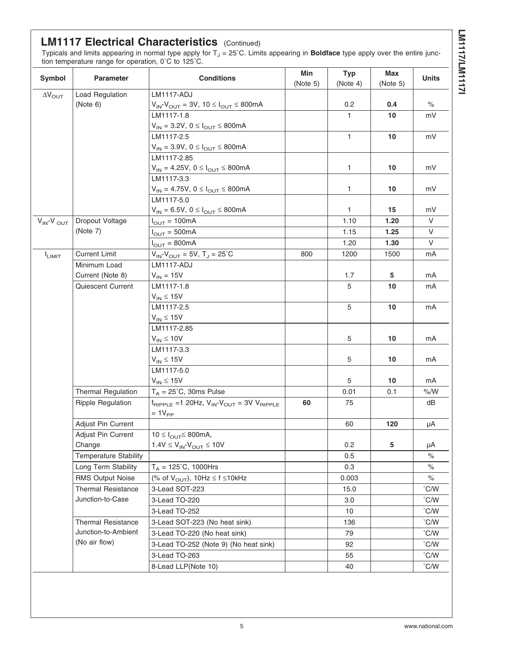# **LM117/LM11171 LM1117/LM1117I**

## **LM1117 Electrical Characteristics** (Continued)

Typicals and limits appearing in normal type apply for T<sub>J</sub> = 25˚C. Limits appearing in **Boldface** type apply over the entire junction temperature range for operation, 0˚C to 125˚C.

| Symbol                     | <b>Conditions</b><br><b>Parameter</b>                                           |                                                                            | Min      | <b>Typ</b>   | Max      | <b>Units</b>  |
|----------------------------|---------------------------------------------------------------------------------|----------------------------------------------------------------------------|----------|--------------|----------|---------------|
|                            |                                                                                 |                                                                            | (Note 5) | (Note 4)     | (Note 5) |               |
| $\Delta V_{\text{OUT}}$    | <b>Load Regulation</b>                                                          | <b>LM1117-ADJ</b>                                                          |          |              |          |               |
|                            | (Note 6)                                                                        | $V_{IN}$ - $V_{OUT}$ = 3V, 10 $\leq$ $I_{OUT}$ $\leq$ 800mA                |          | 0.2          | 0.4      | $\%$          |
|                            |                                                                                 | LM1117-1.8                                                                 |          | 1            | 10       | mV            |
|                            |                                                                                 | $V_{IN} = 3.2V, 0 \leq I_{OUT} \leq 800mA$                                 |          |              |          |               |
|                            |                                                                                 | LM1117-2.5                                                                 |          | $\mathbf{1}$ | 10       | mV            |
|                            |                                                                                 | $V_{IN} = 3.9V, 0 \leq I_{OUT} \leq 800mA$                                 |          |              |          |               |
|                            |                                                                                 | LM1117-2.85                                                                |          |              |          |               |
|                            |                                                                                 | $V_{IN} = 4.25V, 0 \leq I_{OUT} \leq 800mA$                                |          | 1            | 10       | mV            |
|                            |                                                                                 | LM1117-3.3                                                                 |          |              |          |               |
|                            |                                                                                 | $V_{IN} = 4.75V, 0 \leq I_{OUT} \leq 800mA$                                |          | 1            | 10       | mV            |
|                            |                                                                                 | LM1117-5.0                                                                 |          |              |          |               |
|                            |                                                                                 | $V_{IN} = 6.5V, 0 \leq I_{OUT} \leq 800mA$                                 |          | 1            | 15       | mV            |
| $V_{IN}$ -V <sub>OUT</sub> | Dropout Voltage                                                                 | $I_{OUT} = 100mA$                                                          |          | 1.10         | 1.20     | V             |
|                            | (Note 7)                                                                        | $I_{\text{OUT}} = 500 \text{mA}$                                           |          | 1.15         | 1.25     | V             |
|                            |                                                                                 | $I_{\text{OUT}} = 800 \text{mA}$                                           |          | 1.20         | 1.30     | V             |
| $I_{LIMIT}$                | <b>Current Limit</b>                                                            | $V_{IN}$ - $V_{OUT}$ = 5V, T <sub>J</sub> = 25 <sup>°</sup> C              | 800      | 1200         | 1500     | mA            |
|                            | Minimum Load                                                                    | <b>LM1117-ADJ</b>                                                          |          |              |          |               |
|                            | Current (Note 8)                                                                | $V_{IN} = 15V$                                                             |          | 1.7          | 5        | mA            |
|                            | Quiescent Current                                                               | LM1117-1.8                                                                 |          | 5            | 10       | mA            |
|                            |                                                                                 | $V_{IN} \leq 15V$                                                          |          |              |          |               |
|                            |                                                                                 | LM1117-2.5                                                                 |          | 5            | 10       | mA            |
|                            |                                                                                 | $V_{IN} \leq 15V$                                                          |          |              |          |               |
|                            |                                                                                 | LM1117-2.85                                                                |          |              |          |               |
|                            |                                                                                 | $V_{IN} \leq 10V$                                                          |          | 5            | 10       | mA            |
|                            |                                                                                 | LM1117-3.3                                                                 |          |              |          |               |
|                            |                                                                                 | $V_{IN} \leq 15V$                                                          |          | 5            | 10       | mA            |
|                            |                                                                                 | LM1117-5.0                                                                 |          | 5            | 10       | mA            |
|                            |                                                                                 | $V_{IN} \leq 15V$<br>$T_A = 25^{\circ}C$ , 30ms Pulse                      |          |              |          | % /W          |
|                            | <b>Thermal Regulation</b>                                                       |                                                                            | 60       | 0.01         | 0.1      | dB            |
|                            | <b>Ripple Regulation</b>                                                        | $f_{RIPPLE}$ =1 20Hz, $V_{IN}$ - $V_{OUT}$ = 3V $V_{RIPPLE}$<br>$=1V_{PP}$ |          | 75           |          |               |
|                            | Adjust Pin Current                                                              |                                                                            |          | 60           | 120      | μA            |
|                            | Adjust Pin Current                                                              | $10 \leq I_{\text{OUT}} \leq 800 \text{mA}$ ,                              |          |              |          |               |
|                            | Change                                                                          | $1.4V \leq V_{IN}$ - $V_{OUT} \leq 10V$                                    |          | 0.2          | 5        | μA            |
|                            | <b>Temperature Stability</b>                                                    |                                                                            |          | 0.5          |          | $\%$          |
|                            | Long Term Stability                                                             | $T_A = 125^{\circ}C$ , 1000Hrs                                             |          | 0.3          |          | $\%$          |
|                            | (% of $V_{\text{OUT}}$ ), 10Hz $\leq$ f $\leq$ 10kHz<br><b>RMS Output Noise</b> |                                                                            |          | 0.003        |          | $\%$          |
|                            | <b>Thermal Resistance</b>                                                       | 3-Lead SOT-223                                                             |          | 15.0         |          | °C/W          |
| Junction-to-Case           |                                                                                 | 3-Lead TO-220                                                              |          | 3.0          |          | $\degree$ C/W |
|                            |                                                                                 | 3-Lead TO-252                                                              |          | 10           |          | °C/W          |
|                            | <b>Thermal Resistance</b>                                                       | 3-Lead SOT-223 (No heat sink)                                              |          | 136          |          | $\degree$ C/W |
|                            | Junction-to-Ambient                                                             | 3-Lead TO-220 (No heat sink)                                               |          | 79           |          | $\degree$ C/W |
|                            | (No air flow)                                                                   | 3-Lead TO-252 (Note 9) (No heat sink)                                      |          | 92           |          | $\degree$ C/W |
|                            |                                                                                 | 3-Lead TO-263                                                              |          | 55           |          | °C/W          |
|                            |                                                                                 | 8-Lead LLP(Note 10)                                                        |          | 40           |          | $\degree$ C/W |
|                            |                                                                                 |                                                                            |          |              |          |               |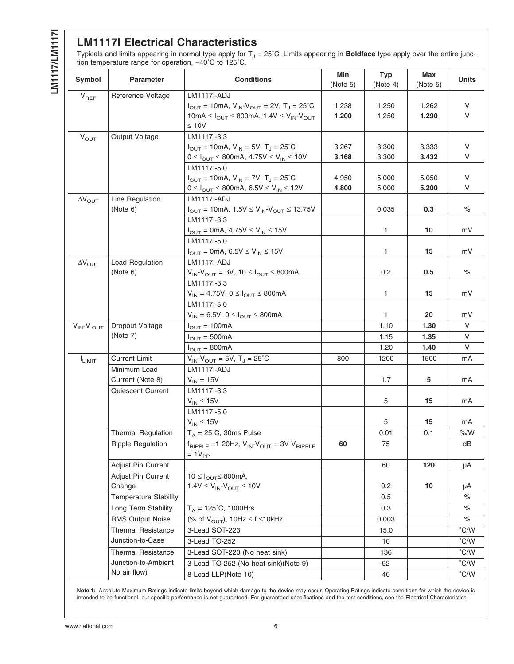<span id="page-5-0"></span>LM117/LM11171 **LM1117/LM1117I**

## **LM1117I Electrical Characteristics**

Typicals and limits appearing in normal type apply for T<sub>J</sub> = 25˚C. Limits appearing in **Boldface** type apply over the entire junction temperature range for operation, −40˚C to 125˚C.

| Symbol                  | <b>Parameter</b>                                                                                   | <b>Conditions</b>                                                                                                                                                                                                            | Min<br>(Note 5) | <b>Typ</b><br>(Note 4) | Max<br>(Note 5) | <b>Units</b>          |
|-------------------------|----------------------------------------------------------------------------------------------------|------------------------------------------------------------------------------------------------------------------------------------------------------------------------------------------------------------------------------|-----------------|------------------------|-----------------|-----------------------|
| $V_{REF}$               | Reference Voltage                                                                                  | LM1117I-ADJ<br>$I_{\text{OUT}} = 10 \text{mA}, V_{\text{IN}} - V_{\text{OUT}} = 2V, T_{\text{J}} = 25^{\circ} \text{C}$<br>10mA $\leq I_{\text{OUT}} \leq 800$ mA, 1.4V $\leq V_{\text{IN}}$ -V <sub>OUT</sub><br>$\leq 10V$ | 1.238<br>1.200  | 1.250<br>1.250         | 1.262<br>1.290  | V<br>$\vee$           |
| $V_{\text{OUT}}$        | Output Voltage                                                                                     | LM1117I-3.3<br>$I_{\text{OUT}} = 10 \text{mA}, V_{\text{IN}} = 5V, T_{\text{J}} = 25^{\circ} \text{C}$<br>$0 \le I_{OUT} \le 800$ mA, $4.75V \le V_{IN} \le 10V$                                                             | 3.267<br>3.168  | 3.300<br>3.300         | 3.333<br>3.432  | V<br>V                |
|                         |                                                                                                    | LM1117I-5.0<br>$I_{\text{OUT}} = 10 \text{mA}, V_{\text{IN}} = 7V, T_{\text{J}} = 25^{\circ} \text{C}$<br>$0 \le I_{OUT} \le 800$ mA, 6.5V ≤ V <sub>IN</sub> ≤ 12V                                                           | 4.950<br>4.800  | 5.000<br>5.000         | 5.050<br>5.200  | V<br>V                |
| $\Delta V_{\text{OUT}}$ | Line Regulation<br>(Note 6)                                                                        | LM1117I-ADJ<br>$I_{\text{OUT}} = 10 \text{mA}, 1.5 \text{V} \leq V_{\text{IN}} V_{\text{OUT}} \leq 13.75 \text{V}$                                                                                                           |                 | 0.035                  | 0.3             | $\%$                  |
|                         |                                                                                                    | LM1117I-3.3<br>$I_{\text{OUT}} = 0 \text{mA}, 4.75 \text{V} \leq V_{\text{IN}} \leq 15 \text{V}$<br>LM1117I-5.0                                                                                                              |                 | 1                      | 10              | mV                    |
| $\Delta V_{\text{OUT}}$ | <b>Load Regulation</b>                                                                             | $I_{\text{OUT}} = 0 \text{mA}, 6.5 \text{V} \leq V_{\text{IN}} \leq 15 \text{V}$<br><b>LM1117I-ADJ</b>                                                                                                                       |                 | 1                      | 15              | mV                    |
|                         | (Note 6)                                                                                           | $V_{IN}$ - $V_{OUT}$ = 3V, 10 $\leq$ $I_{OUT}$ $\leq$ 800mA<br>LM1117I-3.3                                                                                                                                                   |                 | 0.2                    | 0.5             | $\%$                  |
|                         |                                                                                                    | $V_{IN} = 4.75V, 0 \leq I_{OUT} \leq 800mA$<br>LM1117I-5.0                                                                                                                                                                   |                 | 1                      | 15              | mV                    |
|                         |                                                                                                    | $V_{IN} = 6.5V, 0 \leq I_{OUT} \leq 800mA$                                                                                                                                                                                   |                 | 1.                     | 20              | mV                    |
| $V_{IN}$ - $V_{OUT}$    | Dropout Voltage<br>(Note 7)                                                                        | $I_{\text{OUT}} = 100 \text{mA}$                                                                                                                                                                                             |                 | 1.10                   | 1.30            | V                     |
|                         |                                                                                                    | $I_{\text{OUT}} = 500 \text{mA}$                                                                                                                                                                                             |                 | 1.15<br>1.20           | 1.35<br>1.40    | V<br>V                |
| I <sub>LIMIT</sub>      | <b>Current Limit</b>                                                                               | $I_{\text{OUT}} = 800 \text{mA}$<br>$V_{IN}$ - $V_{OUT}$ = 5V, T <sub>J</sub> = 25 <sup>°</sup> C                                                                                                                            | 800             | 1200                   | 1500            | mA                    |
|                         | Minimum Load<br>Current (Note 8)                                                                   | <b>LM1117I-ADJ</b><br>$V_{IN}$ = 15V                                                                                                                                                                                         |                 | 1.7                    | 5               | mA                    |
|                         | Quiescent Current                                                                                  | LM1117I-3.3<br>$V_{IN} \leq 15V$                                                                                                                                                                                             |                 | 5                      | 15              | mA                    |
|                         |                                                                                                    | LM1117I-5.0<br>$V_{IN} \leq 15V$                                                                                                                                                                                             |                 | 5                      | 15              | mA                    |
|                         | <b>Thermal Regulation</b><br>Ripple Regulation                                                     | $T_A = 25^{\circ}$ C, 30ms Pulse<br>$t_{\text{RIPPLE}}$ =1 20Hz, $V_{\text{IN}}$ - $V_{\text{OUT}}$ = 3V $V_{\text{RIPPLE}}$<br>$=1V_{PP}$                                                                                   | 60              | 0.01<br>75             | 0.1             | % /W<br>dB            |
|                         | Adjust Pin Current                                                                                 |                                                                                                                                                                                                                              |                 | 60                     | 120             | μA                    |
|                         | Adjust Pin Current<br>Change                                                                       | $10 \leq I_{\text{OUT}} \leq 800 \text{mA}$ ,<br>$1.4V \leq V_{IN} - V_{OUT} \leq 10V$                                                                                                                                       |                 | 0.2                    | 10              | μA                    |
|                         | <b>Temperature Stability</b>                                                                       |                                                                                                                                                                                                                              |                 | 0.5                    |                 | $\%$                  |
|                         | Long Term Stability                                                                                | $T_A = 125^{\circ}C$ , 1000Hrs                                                                                                                                                                                               |                 | 0.3                    |                 | $\%$                  |
|                         | <b>RMS Output Noise</b>                                                                            | (% of $V_{\text{OUT}}$ ), 10Hz $\leq$ f $\leq$ 10kHz                                                                                                                                                                         |                 | 0.003                  |                 | $\%$                  |
|                         | <b>Thermal Resistance</b>                                                                          | 3-Lead SOT-223                                                                                                                                                                                                               |                 | 15.0                   |                 | °C/W                  |
|                         | Junction-to-Case                                                                                   | 3-Lead TO-252                                                                                                                                                                                                                |                 | 10                     |                 | $\degree$ C/W         |
|                         | <b>Thermal Resistance</b>                                                                          | 3-Lead SOT-223 (No heat sink)                                                                                                                                                                                                |                 | 136                    |                 | °C/W                  |
|                         | Junction-to-Ambient<br>3-Lead TO-252 (No heat sink)(Note 9)<br>No air flow)<br>8-Lead LLP(Note 10) |                                                                                                                                                                                                                              |                 | 92<br>40               |                 | °C/W<br>$\degree$ C/W |

**Note 1:** Absolute Maximum Ratings indicate limits beyond which damage to the device may occur. Operating Ratings indicate conditions for which the device is intended to be functional, but specific performance is not guaranteed. For guaranteed specifications and the test conditions, see the Electrical Characteristics.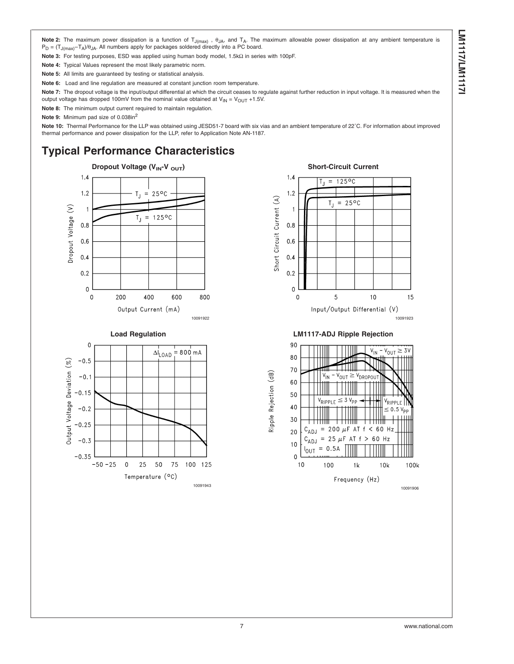<span id="page-6-0"></span>**Note 2:** The maximum power dissipation is a function of T<sub>J(max)</sub>, θ<sub>JA</sub>, and T<sub>A</sub>. The maximum allowable power dissipation at any ambient temperature is  $P_D = (T_{J(max)} - T_A)/\theta_{JA}$ . All numbers apply for packages soldered directly into a PC board.

**Note 3:** For testing purposes, ESD was applied using human body model, 1.5kΩ in series with 100pF.

**Note 4:** Typical Values represent the most likely parametric norm.

**Note 5:** All limits are guaranteed by testing or statistical analysis.

**Note 6:** Load and line regulation are measured at constant junction room temperature.

Note 7: The dropout voltage is the input/output differential at which the circuit ceases to regulate against further reduction in input voltage. It is measured when the output voltage has dropped 100mV from the nominal value obtained at  $V_{IN} = V_{OUT} + 1.5V$ .

**Note 8:** The minimum output current required to maintain regulation.

**Note 9:** Minimum pad size of 0.038in2

**Note 10:** Thermal Performance for the LLP was obtained using JESD51-7 board with six vias and an ambient temperature of 22˚C. For information about improved thermal performance and power dissipation for the LLP, refer to Application Note AN-1187.

## **Typical Performance Characteristics**





#### $1.4$  $= 125^{\circ}$ C  $1.2$ Short Circuit Current (A)  $= 25^{\circ}$ C  $T_{\rm J}$  $\overline{1}$  $0.8$  $0.6$  $0.4$  $0.2$  $\Omega$  $\mathbf 0$ 5  $10$ 15 Input/Output Differential (V) 10091922 10091923

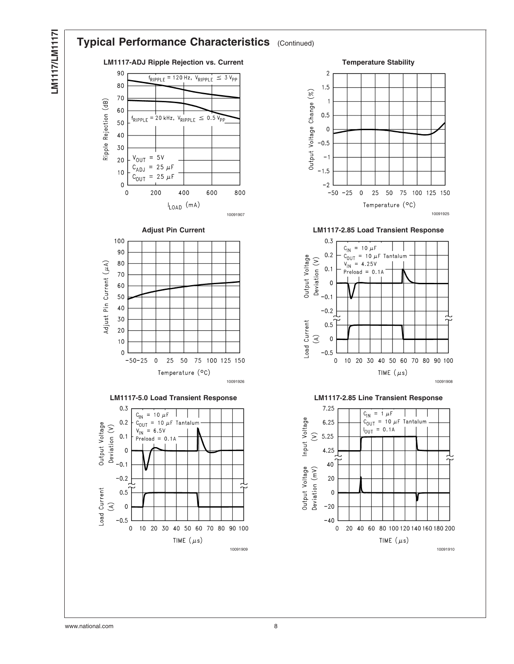

LM1117/LM11171 **LM1117/LM1117I**

ᅯ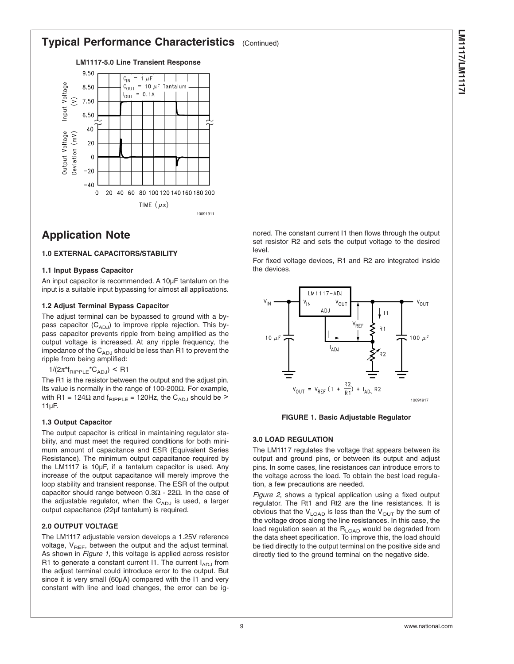## **Typical Performance Characteristics** (Continued)

**LM1117-5.0 Line Transient Response**



## **Application Note**

### **1.0 EXTERNAL CAPACITORS/STABILITY**

#### **1.1 Input Bypass Capacitor**

An input capacitor is recommended. A 10µF tantalum on the input is a suitable input bypassing for almost all applications.

#### **1.2 Adjust Terminal Bypass Capacitor**

The adjust terminal can be bypassed to ground with a bypass capacitor  $(C_{ADJ})$  to improve ripple rejection. This bypass capacitor prevents ripple from being amplified as the output voltage is increased. At any ripple frequency, the impedance of the  $C_{ADJ}$  should be less than R1 to prevent the ripple from being amplified:

 $1/(2\pi^*f_{\text{RIPPLE}}^*C_{\text{AD,J}})$  < R1

The R1 is the resistor between the output and the adjust pin. Its value is normally in the range of 100-200Ω. For example, with R1 = 124 $\Omega$  and  $f_{RIPPLE}$  = 120Hz, the C<sub>ADJ</sub> should be > 11µF.

#### **1.3 Output Capacitor**

The output capacitor is critical in maintaining regulator stability, and must meet the required conditions for both minimum amount of capacitance and ESR (Equivalent Series Resistance). The minimum output capacitance required by the LM1117 is 10µF, if a tantalum capacitor is used. Any increase of the output capacitance will merely improve the loop stability and transient response. The ESR of the output capacitor should range between 0.3Ω - 22Ω. In the case of the adjustable regulator, when the  $C_{ADJ}$  is used, a larger output capacitance (22µf tantalum) is required.

#### **2.0 OUTPUT VOLTAGE**

The LM1117 adjustable version develops a 1.25V reference voltage,  $V_{REF}$ , between the output and the adjust terminal. As shown in *Figure 1*, this voltage is applied across resistor R1 to generate a constant current I1. The current  $I_{ADJ}$  from the adjust terminal could introduce error to the output. But since it is very small (60µA) compared with the I1 and very constant with line and load changes, the error can be ignored. The constant current I1 then flows through the output set resistor R2 and sets the output voltage to the desired

For fixed voltage devices, R1 and R2 are integrated inside the devices.





#### **3.0 LOAD REGULATION**

level.

The LM1117 regulates the voltage that appears between its output and ground pins, or between its output and adjust pins. In some cases, line resistances can introduce errors to the voltage across the load. To obtain the best load regulation, a few precautions are needed.

*[Figure 2](#page-9-0)*, shows a typical application using a fixed output regulator. The Rt1 and Rt2 are the line resistances. It is obvious that the  $V_{\text{LOAD}}$  is less than the  $V_{\text{OUT}}$  by the sum of the voltage drops along the line resistances. In this case, the load regulation seen at the  $R_{\text{LOAD}}$  would be degraded from the data sheet specification. To improve this, the load should be tied directly to the output terminal on the positive side and directly tied to the ground terminal on the negative side.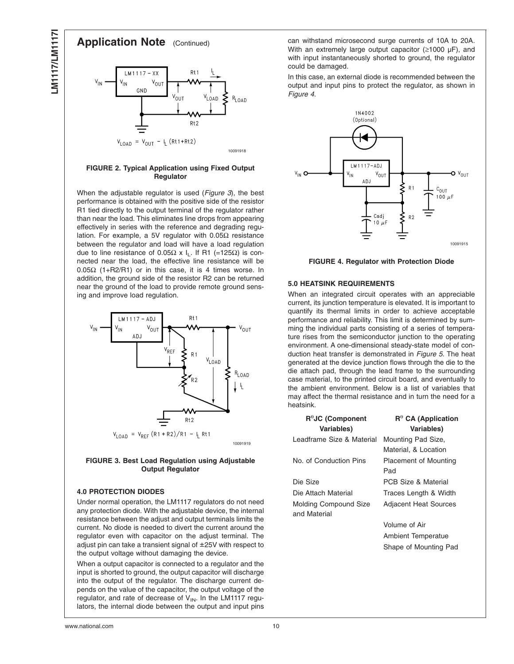<span id="page-9-0"></span>

#### **FIGURE 2. Typical Application using Fixed Output Regulator**

When the adjustable regulator is used (*Figure 3*), the best performance is obtained with the positive side of the resistor R1 tied directly to the output terminal of the regulator rather than near the load. This eliminates line drops from appearing effectively in series with the reference and degrading regulation. For example, a 5V regulator with 0.05Ω resistance between the regulator and load will have a load regulation due to line resistance of 0.05 $Ω \times I$ <sub>L</sub>. If R1 (=125 $Ω$ ) is connected near the load, the effective line resistance will be 0.05Ω (1+R2/R1) or in this case, it is 4 times worse. In addition, the ground side of the resistor R2 can be returned near the ground of the load to provide remote ground sensing and improve load regulation.



#### **FIGURE 3. Best Load Regulation using Adjustable Output Regulator**

#### **4.0 PROTECTION DIODES**

Under normal operation, the LM1117 regulators do not need any protection diode. With the adjustable device, the internal resistance between the adjust and output terminals limits the current. No diode is needed to divert the current around the regulator even with capacitor on the adjust terminal. The adjust pin can take a transient signal of ±25V with respect to the output voltage without damaging the device.

When a output capacitor is connected to a regulator and the input is shorted to ground, the output capacitor will discharge into the output of the regulator. The discharge current depends on the value of the capacitor, the output voltage of the regulator, and rate of decrease of  $V_{IN}$ . In the LM1117 regulators, the internal diode between the output and input pins can withstand microsecond surge currents of 10A to 20A. With an extremely large output capacitor (≥1000 µF), and with input instantaneously shorted to ground, the regulator could be damaged.

In this case, an external diode is recommended between the output and input pins to protect the regulator, as shown in *Figure 4*.



**FIGURE 4. Regulator with Protection Diode**

#### **5.0 HEATSINK REQUIREMENTS**

When an integrated circuit operates with an appreciable current, its junction temperature is elevated. It is important to quantify its thermal limits in order to achieve acceptable performance and reliability. This limit is determined by summing the individual parts consisting of a series of temperature rises from the semiconductor junction to the operating environment. A one-dimensional steady-state model of conduction heat transfer is demonstrated in *[Figure 5](#page-10-0)*. The heat generated at the device junction flows through the die to the die attach pad, through the lead frame to the surrounding case material, to the printed circuit board, and eventually to the ambient environment. Below is a list of variables that may affect the thermal resistance and in turn the need for a heatsink.

| $R^{\theta}$ JC (Component<br>Variables) | $R^{\theta}$ CA (Application<br><b>Variables)</b> |
|------------------------------------------|---------------------------------------------------|
| Leadframe Size & Material                | Mounting Pad Size,<br>Material, & Location        |
| No. of Conduction Pins                   | <b>Placement of Mounting</b><br>Pad               |
| Die Size                                 | PCB Size & Material                               |
| Die Attach Material                      | Traces Length & Width                             |
| Molding Compound Size<br>and Material    | <b>Adjacent Heat Sources</b>                      |
|                                          | Volume of Air                                     |
|                                          | Ambient Temperatue                                |

Shape of Mounting Pad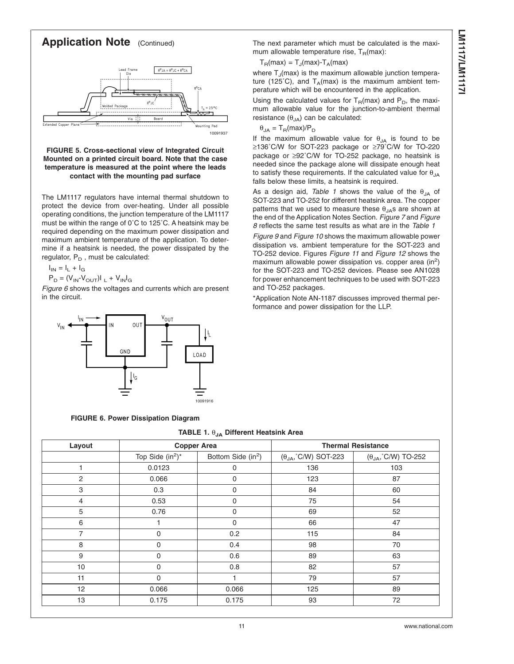<span id="page-10-0"></span>

#### **FIGURE 5. Cross-sectional view of Integrated Circuit Mounted on a printed circuit board. Note that the case temperature is measured at the point where the leads contact with the mounting pad surface**

The LM1117 regulators have internal thermal shutdown to protect the device from over-heating. Under all possible operating conditions, the junction temperature of the LM1117 must be within the range of 0˚C to 125˚C. A heatsink may be required depending on the maximum power dissipation and maximum ambient temperature of the application. To determine if a heatsink is needed, the power dissipated by the regulator,  $P_D$ , must be calculated:

 $I_{IN} = I_L + I_G$ 

 $\mathsf{P}_{\mathsf{D}} = (\mathsf{V}_{\mathsf{IN}}\text{-}\mathsf{V}_{\mathsf{OUT}})|_{\mathsf{L}} + \mathsf{V}_{\mathsf{IN}}|_{\mathsf{G}}$ 

*Figure 6* shows the voltages and currents which are present in the circuit.



#### **FIGURE 6. Power Dissipation Diagram**

#### **TABLE 1.** θ**JA Different Heatsink Area**

| Layout         | <b>Copper Area</b>  |                                |                                      | <b>Thermal Resistance</b>           |
|----------------|---------------------|--------------------------------|--------------------------------------|-------------------------------------|
|                | Top Side $(in^2)^*$ | Bottom Side (in <sup>2</sup> ) | $(\theta_{JA},^{\circ}$ C/W) SOT-223 | $(\theta_{JA},^{\circ}$ C/W) TO-252 |
|                | 0.0123              | 0                              | 136                                  | 103                                 |
| 2              | 0.066               | $\mathbf 0$                    | 123                                  | 87                                  |
| 3              | 0.3                 | 0                              | 84                                   | 60                                  |
| 4              | 0.53                | 0                              | 75                                   | 54                                  |
| 5              | 0.76                | $\mathbf 0$                    | 69                                   | 52                                  |
| 6              |                     | 0                              | 66                                   | 47                                  |
| $\overline{7}$ | $\mathbf 0$         | 0.2                            | 115                                  | 84                                  |
| 8              | 0                   | 0.4                            | 98                                   | 70                                  |
| 9              | 0                   | 0.6                            | 89                                   | 63                                  |
| 10             | $\Omega$            | 0.8                            | 82                                   | 57                                  |
| 11             | 0                   |                                | 79                                   | 57                                  |
| 12             | 0.066               | 0.066                          | 125                                  | 89                                  |
| 13             | 0.175               | 0.175                          | 93                                   | 72                                  |

The next parameter which must be calculated is the maximum allowable temperature rise,  $T_B(max)$ :

#### $T_B(max) = T_J(max) - T_A(max)$

where  $T_{\text{J}}$ (max) is the maximum allowable junction temperature (125°C), and  $T_A$ (max) is the maximum ambient temperature which will be encountered in the application.

Using the calculated values for  $T_R(max)$  and  $P_D$ , the maximum allowable value for the junction-to-ambient thermal resistance  $(\theta_{JA})$  can be calculated:

 $\theta_{JA} = T_R(max)/P_D$ 

If the maximum allowable value for  $\theta_{JA}$  is found to be ≥136˚C/W for SOT-223 package or ≥79˚C/W for TO-220 package or ≥92˚C/W for TO-252 package, no heatsink is needed since the package alone will dissipate enough heat to satisfy these requirements. If the calculated value for  $\theta_{JA}$ falls below these limits, a heatsink is required.

As a design aid, *Table 1* shows the value of the θ<sub>JA</sub> of SOT-223 and TO-252 for different heatsink area. The copper patterns that we used to measure these  $\theta_{JA}$ s are shown at the end of the Application Notes Section. *[Figure 7](#page-12-0)* and *[Figure](#page-12-0) [8](#page-12-0)* reflects the same test results as what are in the *Table 1*

*[Figure 9](#page-12-0)* and *[Figure 10](#page-12-0)* shows the maximum allowable power dissipation vs. ambient temperature for the SOT-223 and TO-252 device. Figures *[Figure 11](#page-12-0)* and *[Figure 12](#page-12-0)* shows the maximum allowable power dissipation vs. copper area (in $^2$ ) for the SOT-223 and TO-252 devices. Please see AN1028 for power enhancement techniques to be used with SOT-223 and TO-252 packages.

\*Application Note AN-1187 discusses improved thermal performance and power dissipation for the LLP.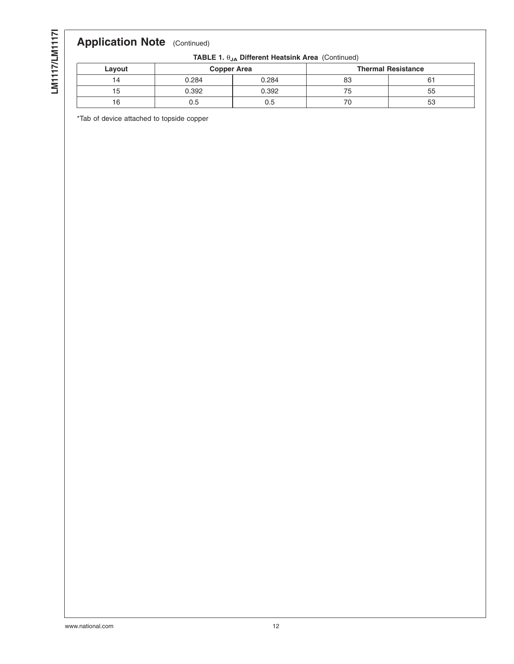LM1117/LM11171 **LM1117/LM1117I**

## **Application Note** (Continued)

|  |  | TABLE 1. θ <sub>JA</sub> Different Heatsink Area (Continued) |
|--|--|--------------------------------------------------------------|

| Layout | <b>Copper Area</b> |       |    | <b>Thermal Resistance</b> |
|--------|--------------------|-------|----|---------------------------|
| 4      | 0.284              | 0.284 | oc | O.                        |
| G      | 0.392              | 0.392 | ె  | 55                        |
| b      | U.5                | 0.5   | u  | 53                        |

\*Tab of device attached to topside copper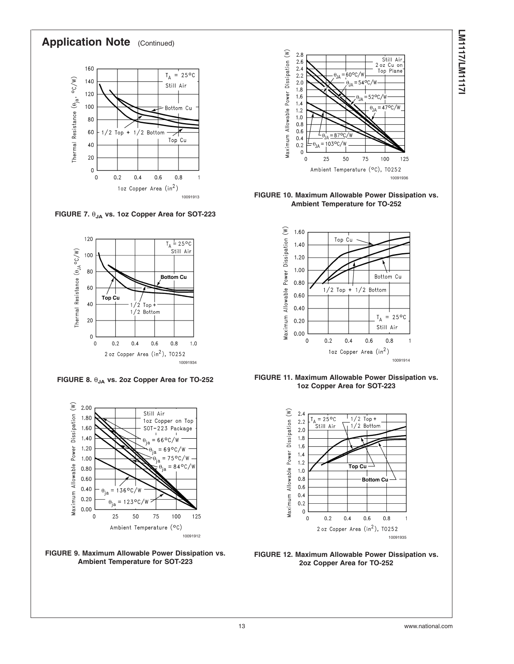<span id="page-12-0"></span>

**FIGURE 7.** θ**JA vs. 1oz Copper Area for SOT-223**



**FIGURE 8.** θ**JA vs. 2oz Copper Area for TO-252**







**FIGURE 10. Maximum Allowable Power Dissipation vs. Ambient Temperature for TO-252**







**FIGURE 12. Maximum Allowable Power Dissipation vs. 2oz Copper Area for TO-252**

# **LM117/LM1177 LM1117/LM1117I**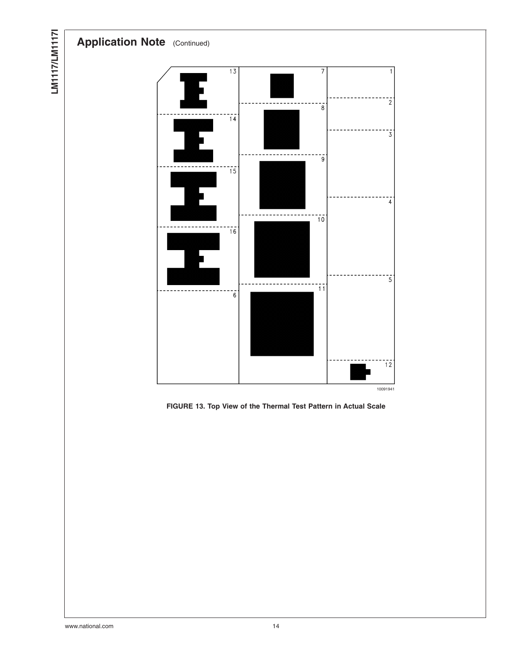



LM1117/LM11171 **LM1117/LM1117I**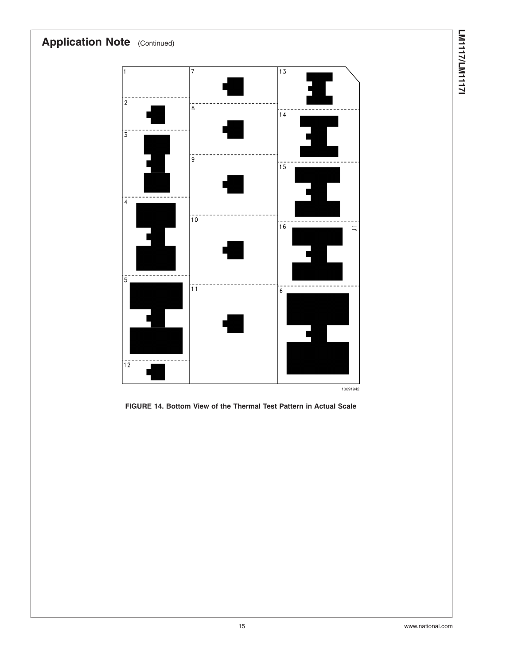

**FIGURE 14. Bottom View of the Thermal Test Pattern in Actual Scale**

**LM1117/LM1117I**

**LN117/LM11171**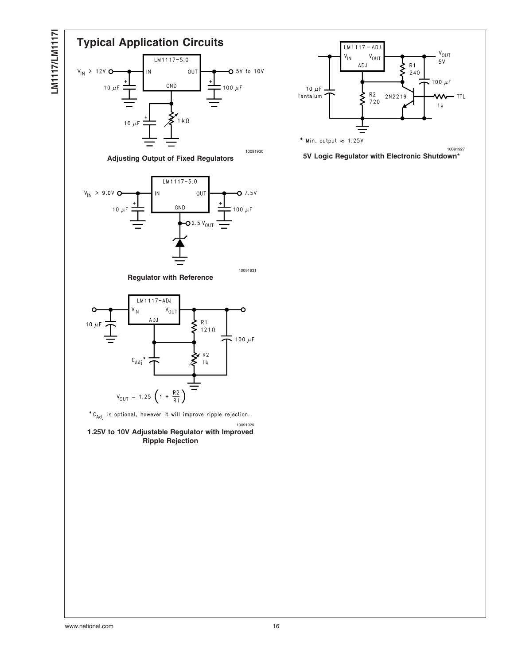



**5V Logic Regulator with Electronic Shutdown\***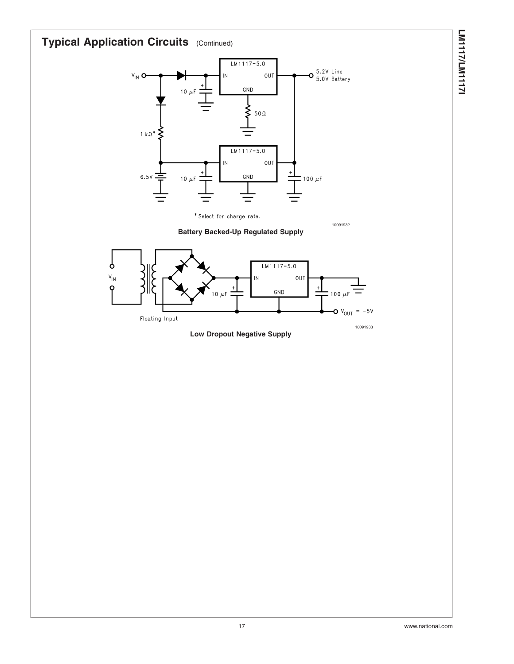

**LM1117/LM1117I**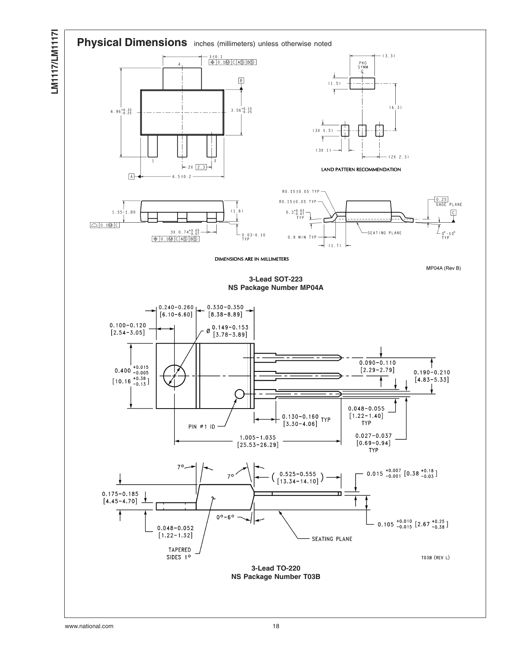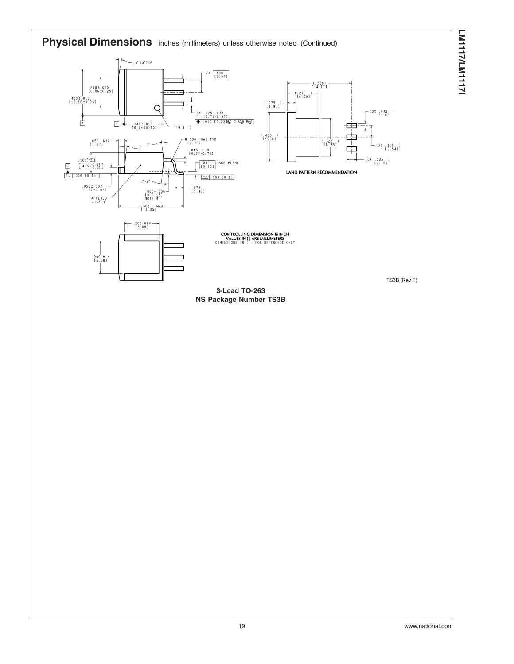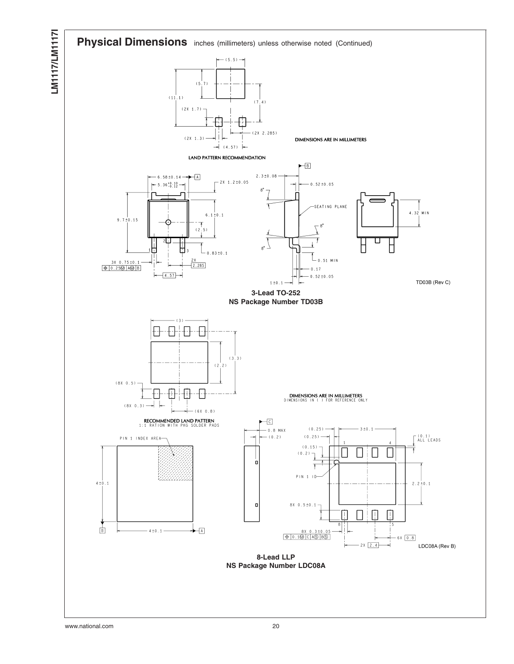